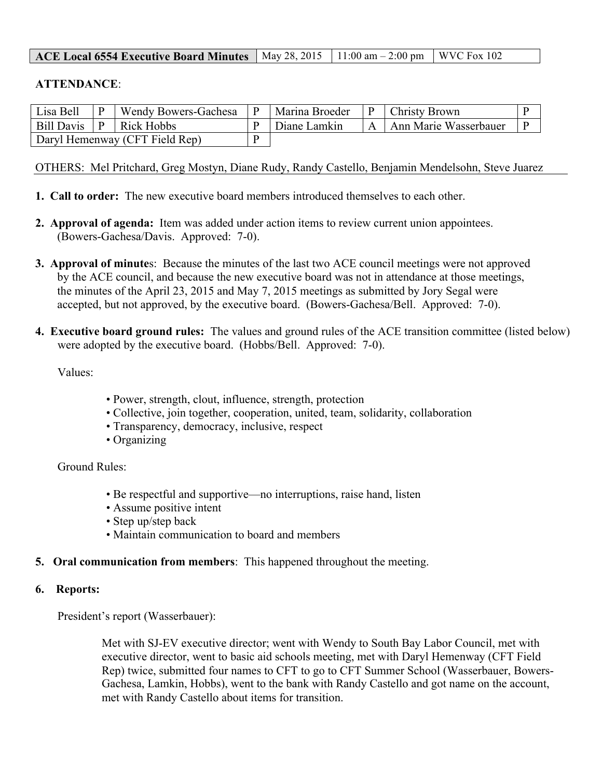| ACE Local 6554 Executive Board Minutes   May 28, 2015   11:00 am $-$ 2:00 pm   WVC Fox 102 |  |  |  |
|--------------------------------------------------------------------------------------------|--|--|--|
|--------------------------------------------------------------------------------------------|--|--|--|

### **ATTENDANCE**:

| Lisa Bell  |   | Wendy Bowers-Gachesa           | Marina Broeder |              | Christy Brown         |  |
|------------|---|--------------------------------|----------------|--------------|-----------------------|--|
| Bill Davis | P | Rick Hobbs                     | Diane Lamkin   | $\mathbf{A}$ | Ann Marie Wasserbauer |  |
|            |   | Daryl Hemenway (CFT Field Rep) |                |              |                       |  |

OTHERS: Mel Pritchard, Greg Mostyn, Diane Rudy, Randy Castello, Benjamin Mendelsohn, Steve Juarez

- **1. Call to order:** The new executive board members introduced themselves to each other.
- **2. Approval of agenda:** Item was added under action items to review current union appointees. (Bowers-Gachesa/Davis. Approved: 7-0).
- **3. Approval of minute**s: Because the minutes of the last two ACE council meetings were not approved by the ACE council, and because the new executive board was not in attendance at those meetings, the minutes of the April 23, 2015 and May 7, 2015 meetings as submitted by Jory Segal were accepted, but not approved, by the executive board. (Bowers-Gachesa/Bell. Approved: 7-0).
- **4. Executive board ground rules:** The values and ground rules of the ACE transition committee (listed below) were adopted by the executive board. (Hobbs/Bell. Approved: 7-0).

Values:

- Power, strength, clout, influence, strength, protection
- Collective, join together, cooperation, united, team, solidarity, collaboration
- Transparency, democracy, inclusive, respect
- Organizing

Ground Rules:

- Be respectful and supportive—no interruptions, raise hand, listen
- Assume positive intent
- Step up/step back
- Maintain communication to board and members
- **5. Oral communication from members**: This happened throughout the meeting.

### **6. Reports:**

President's report (Wasserbauer):

Met with SJ-EV executive director; went with Wendy to South Bay Labor Council, met with executive director, went to basic aid schools meeting, met with Daryl Hemenway (CFT Field Rep) twice, submitted four names to CFT to go to CFT Summer School (Wasserbauer, Bowers-Gachesa, Lamkin, Hobbs), went to the bank with Randy Castello and got name on the account, met with Randy Castello about items for transition.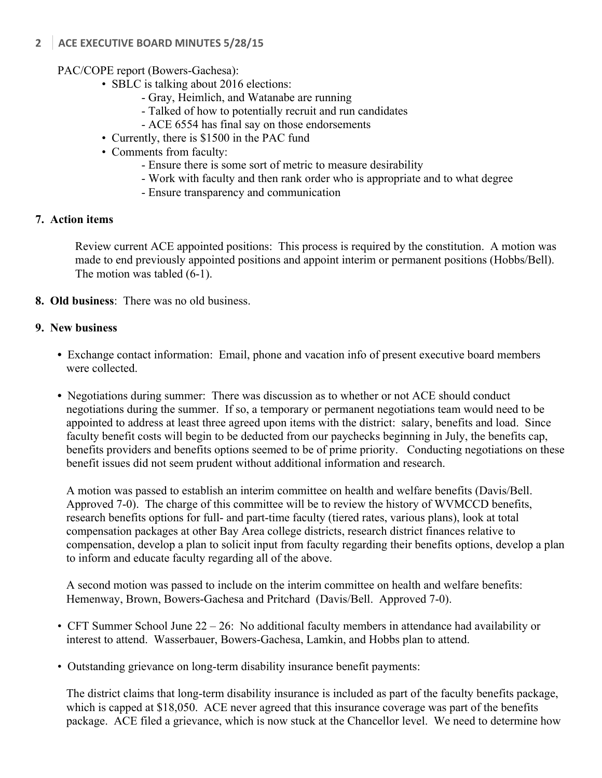## **2** ACE EXECUTIVE BOARD MINUTES 5/28/15

PAC/COPE report (Bowers-Gachesa):

- SBLC is talking about 2016 elections:
	- Gray, Heimlich, and Watanabe are running
	- Talked of how to potentially recruit and run candidates
	- ACE 6554 has final say on those endorsements
- Currently, there is \$1500 in the PAC fund
- Comments from faculty:
	- Ensure there is some sort of metric to measure desirability
	- Work with faculty and then rank order who is appropriate and to what degree
	- Ensure transparency and communication

# **7. Action items**

Review current ACE appointed positions: This process is required by the constitution. A motion was made to end previously appointed positions and appoint interim or permanent positions (Hobbs/Bell). The motion was tabled (6-1).

**8. Old business**: There was no old business.

# **9. New business**

- Exchange contact information: Email, phone and vacation info of present executive board members were collected.
- Negotiations during summer: There was discussion as to whether or not ACE should conduct negotiations during the summer. If so, a temporary or permanent negotiations team would need to be appointed to address at least three agreed upon items with the district: salary, benefits and load. Since faculty benefit costs will begin to be deducted from our paychecks beginning in July, the benefits cap, benefits providers and benefits options seemed to be of prime priority. Conducting negotiations on these benefit issues did not seem prudent without additional information and research.

A motion was passed to establish an interim committee on health and welfare benefits (Davis/Bell. Approved 7-0). The charge of this committee will be to review the history of WVMCCD benefits, research benefits options for full- and part-time faculty (tiered rates, various plans), look at total compensation packages at other Bay Area college districts, research district finances relative to compensation, develop a plan to solicit input from faculty regarding their benefits options, develop a plan to inform and educate faculty regarding all of the above.

A second motion was passed to include on the interim committee on health and welfare benefits: Hemenway, Brown, Bowers-Gachesa and Pritchard (Davis/Bell. Approved 7-0).

- CFT Summer School June 22 26: No additional faculty members in attendance had availability or interest to attend. Wasserbauer, Bowers-Gachesa, Lamkin, and Hobbs plan to attend.
- Outstanding grievance on long-term disability insurance benefit payments:

The district claims that long-term disability insurance is included as part of the faculty benefits package, which is capped at \$18,050. ACE never agreed that this insurance coverage was part of the benefits package. ACE filed a grievance, which is now stuck at the Chancellor level. We need to determine how